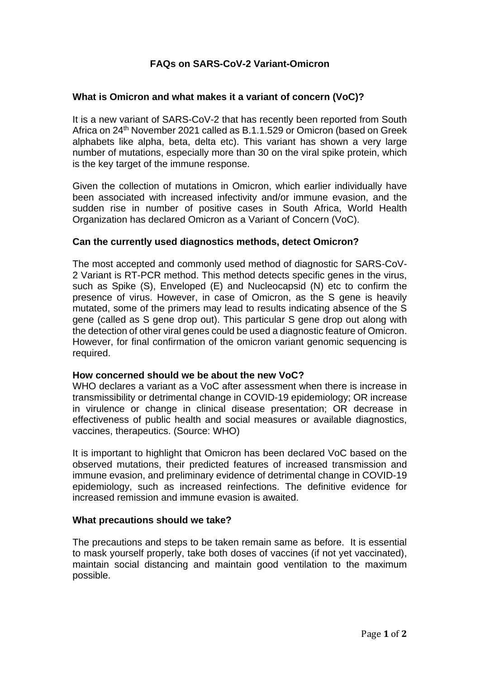# **FAQs on SARS-CoV-2 Variant-Omicron**

## **What is Omicron and what makes it a variant of concern (VoC)?**

It is a new variant of SARS-CoV-2 that has recently been reported from South Africa on 24<sup>th</sup> November 2021 called as B.1.1.529 or Omicron (based on Greek alphabets like alpha, beta, delta etc). This variant has shown a very large number of mutations, especially more than 30 on the viral spike protein, which is the key target of the immune response.

Given the collection of mutations in Omicron, which earlier individually have been associated with increased infectivity and/or immune evasion, and the sudden rise in number of positive cases in South Africa, World Health Organization has declared Omicron as a Variant of Concern (VoC).

#### **Can the currently used diagnostics methods, detect Omicron?**

The most accepted and commonly used method of diagnostic for SARS-CoV-2 Variant is RT-PCR method. This method detects specific genes in the virus, such as Spike (S), Enveloped (E) and Nucleocapsid (N) etc to confirm the presence of virus. However, in case of Omicron, as the S gene is heavily mutated, some of the primers may lead to results indicating absence of the S gene (called as S gene drop out). This particular S gene drop out along with the detection of other viral genes could be used a diagnostic feature of Omicron. However, for final confirmation of the omicron variant genomic sequencing is required.

#### **How concerned should we be about the new VoC?**

WHO declares a variant as a VoC after assessment when there is increase in transmissibility or detrimental change in COVID-19 epidemiology; OR increase in virulence or change in clinical disease presentation; OR decrease in effectiveness of public health and social measures or available diagnostics, vaccines, therapeutics. (Source: WHO)

It is important to highlight that Omicron has been declared VoC based on the observed mutations, their predicted features of increased transmission and immune evasion, and preliminary evidence of detrimental change in COVID-19 epidemiology, such as increased reinfections. The definitive evidence for increased remission and immune evasion is awaited.

#### **What precautions should we take?**

The precautions and steps to be taken remain same as before. It is essential to mask yourself properly, take both doses of vaccines (if not yet vaccinated), maintain social distancing and maintain good ventilation to the maximum possible.